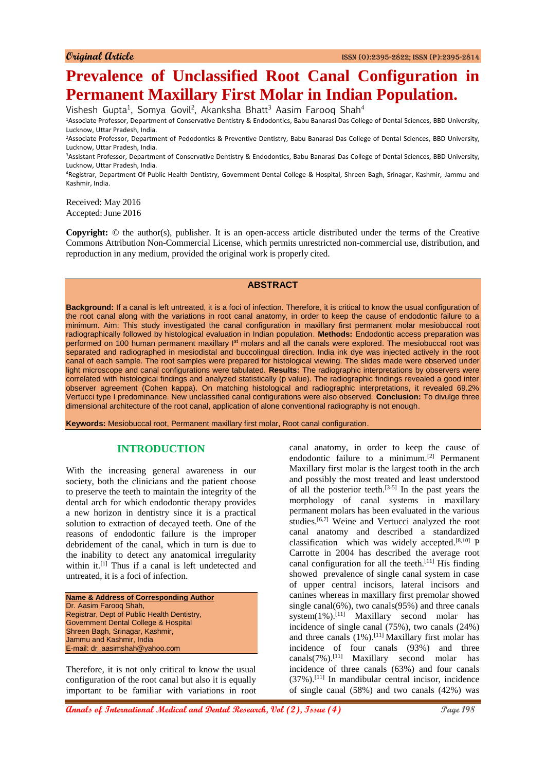# **Prevalence of Unclassified Root Canal Configuration in Permanent Maxillary First Molar in Indian Population.**

Vishesh Gupta<sup>1</sup>, Somya Govil<sup>2</sup>, Akanksha Bhatt<sup>3</sup> Aasim Farooq Shah<sup>4</sup>

<sup>1</sup>Associate Professor, Department of Conservative Dentistry & Endodontics, Babu Banarasi Das College of Dental Sciences, BBD University, Lucknow, Uttar Pradesh, India.

<sup>2</sup>Associate Professor, Department of Pedodontics & Preventive Dentistry, Babu Banarasi Das College of Dental Sciences, BBD University, Lucknow, Uttar Pradesh, India.

<sup>3</sup>Assistant Professor, Department of Conservative Dentistry & Endodontics, Babu Banarasi Das College of Dental Sciences, BBD University, Lucknow, Uttar Pradesh, India.

<sup>4</sup>Registrar, Department Of Public Health Dentistry, Government Dental College & Hospital, Shreen Bagh, Srinagar, Kashmir, Jammu and Kashmir, India.

Received: May 2016 Accepted: June 2016

**Copyright:**  $\odot$  the author(s), publisher. It is an open-access article distributed under the terms of the Creative Commons Attribution Non-Commercial License, which permits unrestricted non-commercial use, distribution, and reproduction in any medium, provided the original work is properly cited.

#### **ABSTRACT**

**Background:** If a canal is left untreated, it is a foci of infection. Therefore, it is critical to know the usual configuration of the root canal along with the variations in root canal anatomy, in order to keep the cause of endodontic failure to a minimum. Aim: This study investigated the canal configuration in maxillary first permanent molar mesiobuccal root radiographically followed by histological evaluation in Indian population. **Methods:** Endodontic access preparation was performed on 100 human permanent maxillary I<sup>st</sup> molars and all the canals were explored. The mesiobuccal root was separated and radiographed in mesiodistal and buccolingual direction. India ink dye was injected actively in the root canal of each sample. The root samples were prepared for histological viewing. The slides made were observed under light microscope and canal configurations were tabulated. **Results:** The radiographic interpretations by observers were correlated with histological findings and analyzed statistically (p value). The radiographic findings revealed a good inter observer agreement (Cohen kappa). On matching histological and radiographic interpretations, it revealed 69.2% Vertucci type I predominance. New unclassified canal configurations were also observed. **Conclusion:** To divulge three dimensional architecture of the root canal, application of alone conventional radiography is not enough.

**Keywords:** Mesiobuccal root, Permanent maxillary first molar, Root canal configuration.

## **INTRODUCTION**

With the increasing general awareness in our society, both the clinicians and the patient choose to preserve the teeth to maintain the integrity of the dental arch for which endodontic therapy provides a new horizon in dentistry since it is a practical solution to extraction of decayed teeth. One of the reasons of endodontic failure is the improper debridement of the canal, which in turn is due to the inability to detect any anatomical irregularity within it.<sup>[1]</sup> Thus if a canal is left undetected and untreated, it is a foci of infection.

**Name & Address of Corresponding Author** Dr. Aasim Farooq Shah, Registrar, Dept of Public Health Dentistry, Government Dental College & Hospital Shreen Bagh, Srinagar, Kashmir, Jammu and Kashmir, India E-mail: dr\_aasimshah@yahoo.com

Therefore, it is not only critical to know the usual configuration of the root canal but also it is equally important to be familiar with variations in root canal anatomy, in order to keep the cause of endodontic failure to a minimum.[2] Permanent Maxillary first molar is the largest tooth in the arch and possibly the most treated and least understood of all the posterior teeth.<sup>[3-5]</sup> In the past years the morphology of canal systems in maxillary permanent molars has been evaluated in the various studies.[6,7] Weine and Vertucci analyzed the root canal anatomy and described a standardized classification which was widely accepted.<sup>[8,10]</sup> P Carrotte in 2004 has described the average root canal configuration for all the teeth.<sup>[11]</sup> His finding showed prevalence of single canal system in case of upper central incisors, lateral incisors and canines whereas in maxillary first premolar showed single canal $(6\%)$ , two canals $(95\%)$  and three canals system $(1\%)$ .<sup>[11]</sup> Maxillary second molar has incidence of single canal (75%), two canals (24%) and three canals  $(1\%)$ .<sup>[11]</sup> Maxillary first molar has incidence of four canals (93%) and three canals(7%).<sup>[11]</sup> Maxillary second molar has incidence of three canals (63%) and four canals (37%).[11] In mandibular central incisor, incidence of single canal (58%) and two canals (42%) was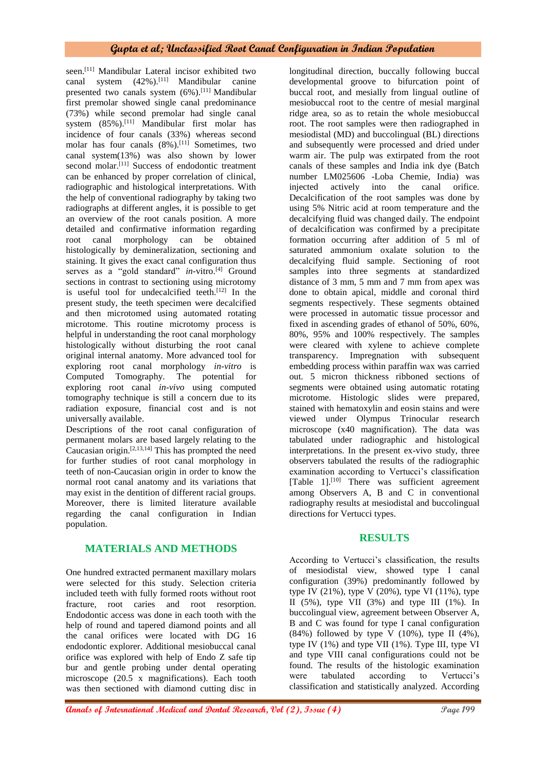seen.<sup>[11]</sup> Mandibular Lateral incisor exhibited two canal system  $(42\%)$ .<sup>[11]</sup> Mandibular canine presented two canals system (6%).[11] Mandibular first premolar showed single canal predominance (73%) while second premolar had single canal system (85%).<sup>[11]</sup> Mandibular first molar has incidence of four canals (33%) whereas second molar has four canals (8%).<sup>[11]</sup> Sometimes, two canal system(13%) was also shown by lower second molar.<sup>[11]</sup> Success of endodontic treatment can be enhanced by proper correlation of clinical, radiographic and histological interpretations. With the help of conventional radiography by taking two radiographs at different angles, it is possible to get an overview of the root canals position. A more detailed and confirmative information regarding root canal morphology can be obtained histologically by demineralization, sectioning and staining. It gives the exact canal configuration thus serves as a "gold standard" *in-vitro*.<sup>[4]</sup> Ground sections in contrast to sectioning using microtomy is useful tool for undecalcified teeth.<sup>[12]</sup> In the present study, the teeth specimen were decalcified and then microtomed using automated rotating microtome. This routine microtomy process is helpful in understanding the root canal morphology histologically without disturbing the root canal original internal anatomy. More advanced tool for exploring root canal morphology *in-vitro* is Computed Tomography. The potential for exploring root canal *in-vivo* using computed tomography technique is still a concern due to its radiation exposure, financial cost and is not universally available.

Descriptions of the root canal configuration of permanent molars are based largely relating to the Caucasian origin.[2,13,14] This has prompted the need for further studies of root canal morphology in teeth of non-Caucasian origin in order to know the normal root canal anatomy and its variations that may exist in the dentition of different racial groups. Moreover, there is limited literature available regarding the canal configuration in Indian population.

# **MATERIALS AND METHODS**

One hundred extracted permanent maxillary molars were selected for this study. Selection criteria included teeth with fully formed roots without root fracture, root caries and root resorption. Endodontic access was done in each tooth with the help of round and tapered diamond points and all the canal orifices were located with DG 16 endodontic explorer. Additional mesiobuccal canal orifice was explored with help of Endo Z safe tip bur and gentle probing under dental operating microscope (20.5 x magnifications). Each tooth was then sectioned with diamond cutting disc in longitudinal direction, buccally following buccal developmental groove to bifurcation point of buccal root, and mesially from lingual outline of mesiobuccal root to the centre of mesial marginal ridge area, so as to retain the whole mesiobuccal root. The root samples were then radiographed in mesiodistal (MD) and buccolingual (BL) directions and subsequently were processed and dried under warm air. The pulp was extirpated from the root canals of these samples and India ink dye (Batch number LM025606 -Loba Chemie, India) was injected actively into the canal orifice. Decalcification of the root samples was done by using 5% Nitric acid at room temperature and the decalcifying fluid was changed daily. The endpoint of decalcification was confirmed by a precipitate formation occurring after addition of 5 ml of saturated ammonium oxalate solution to the decalcifying fluid sample. Sectioning of root samples into three segments at standardized distance of 3 mm, 5 mm and 7 mm from apex was done to obtain apical, middle and coronal third segments respectively. These segments obtained were processed in automatic tissue processor and fixed in ascending grades of ethanol of 50%, 60%, 80%, 95% and 100% respectively. The samples were cleared with xylene to achieve complete transparency. Impregnation with subsequent embedding process within paraffin wax was carried out. 5 micron thickness ribboned sections of segments were obtained using automatic rotating microtome. Histologic slides were prepared, stained with hematoxylin and eosin stains and were viewed under Olympus Trinocular research microscope (x40 magnification). The data was tabulated under radiographic and histological interpretations. In the present ex-vivo study, three observers tabulated the results of the radiographic examination according to Vertucci's classification [Table 1].<sup>[10]</sup> There was sufficient agreement among Observers A, B and C in conventional radiography results at mesiodistal and buccolingual directions for Vertucci types.

# **RESULTS**

According to Vertucci's classification, the results of mesiodistal view, showed type I canal configuration (39%) predominantly followed by type IV  $(21\%)$ , type V  $(20\%)$ , type VI  $(11\%)$ , type II (5%), type VII (3%) and type III (1%). In buccolingual view, agreement between Observer A, B and C was found for type I canal configuration  $(84\%)$  followed by type V  $(10\%)$ , type II  $(4\%)$ , type IV (1%) and type VII (1%). Type III, type VI and type VIII canal configurations could not be found. The results of the histologic examination were tabulated according to Vertucci's classification and statistically analyzed. According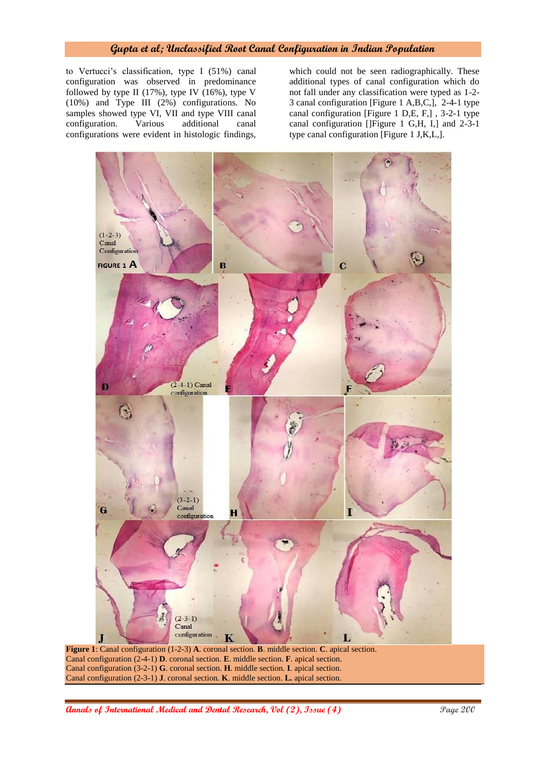### **Gupta et al; Unclassified Root Canal Configuration in Indian Population**

to Vertucci's classification, type I (51%) canal configuration was observed in predominance followed by type II  $(17\%)$ , type IV  $(16\%)$ , type V (10%) and Type III (2%) configurations. No samples showed type VI, VII and type VIII canal configuration. Various additional canal configurations were evident in histologic findings,

which could not be seen radiographically. These additional types of canal configuration which do not fall under any classification were typed as 1-2- 3 canal configuration [Figure 1 A,B,C,], 2-4-1 type canal configuration [Figure 1 D,E, F,] , 3-2-1 type canal configuration []Figure 1 G,H, I,] and 2-3-1 type canal configuration [Figure 1 J,K,L,].



**Figure 1**: Canal configuration (1-2-3) **A**. coronal section. **B**. middle section. **C**. apical section. Canal configuration (2-4-1) **D**. coronal section. **E**. middle section. **F**. apical section. Canal configuration (3-2-1) **G**. coronal section. **H**. middle section. **I**. apical section. Canal configuration (2-3-1) **J**. coronal section. **K**. middle section. **L.** apical section.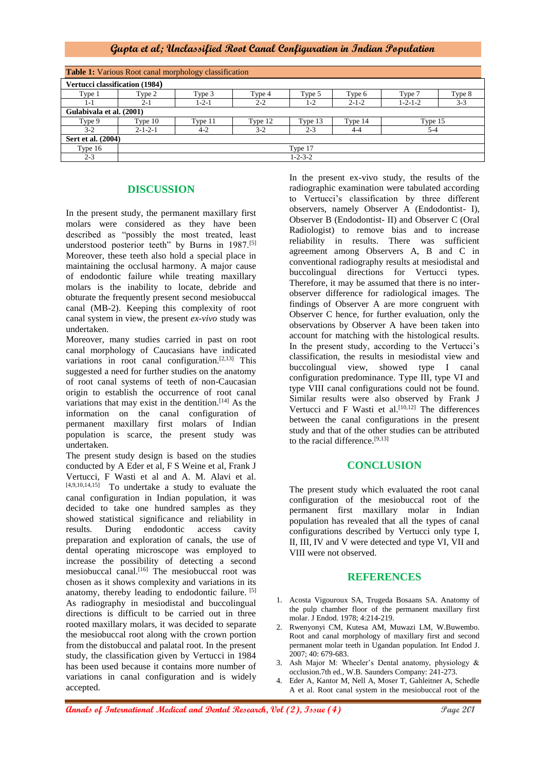## **Gupta et al; Unclassified Root Canal Configuration in Indian Population**

| <b>Table 1:</b> Various Root canal morphology classification |                 |             |         |         |             |                 |         |
|--------------------------------------------------------------|-----------------|-------------|---------|---------|-------------|-----------------|---------|
| Vertucci classification (1984)                               |                 |             |         |         |             |                 |         |
| Type 1                                                       | Type 2          | Type 3      | Type 4  | Type 5  | Type 6      | Type 7          | Type 8  |
| $1 - 1$                                                      | 2-1             | $1 - 2 - 1$ | $2 - 2$ | 1-2     | $2 - 1 - 2$ | $1 - 2 - 1 - 2$ | $3 - 3$ |
| Gulabivala et al. (2001)                                     |                 |             |         |         |             |                 |         |
| Type 9                                                       | Type $10$       | Type 11     | Type 12 | Type 13 | Type 14     | Type 15         |         |
| $3-2$                                                        | $2 - 1 - 2 - 1$ | $4-2$       | $3-2$   | $2 - 3$ | $4 - 4$     | $5 - 4$         |         |
| Sert et al. (2004)                                           |                 |             |         |         |             |                 |         |
| Type 16                                                      | Type 17         |             |         |         |             |                 |         |
| $2 - 3$                                                      | $1 - 2 - 3 - 2$ |             |         |         |             |                 |         |

## **DISCUSSION**

In the present study, the permanent maxillary first molars were considered as they have been described as "possibly the most treated, least understood posterior teeth" by Burns in 1987.<sup>[5]</sup> Moreover, these teeth also hold a special place in maintaining the occlusal harmony. A major cause of endodontic failure while treating maxillary molars is the inability to locate, debride and obturate the frequently present second mesiobuccal canal (MB-2). Keeping this complexity of root canal system in view, the present *ex-vivo* study was undertaken.

Moreover, many studies carried in past on root canal morphology of Caucasians have indicated variations in root canal configuration. $[2,13]$  This suggested a need for further studies on the anatomy of root canal systems of teeth of non-Caucasian origin to establish the occurrence of root canal variations that may exist in the dentition.<sup>[14]</sup> As the information on the canal configuration of permanent maxillary first molars of Indian population is scarce, the present study was undertaken.

The present study design is based on the studies conducted by A Eder et al, F S Weine et al, Frank J Vertucci, F Wasti et al and A. M. Alavi et al. [4,9,10,14,15] To undertake a study to evaluate the canal configuration in Indian population, it was decided to take one hundred samples as they showed statistical significance and reliability in results. During endodontic access cavity preparation and exploration of canals, the use of dental operating microscope was employed to increase the possibility of detecting a second mesiobuccal canal.<sup>[16]</sup> The mesiobuccal root was chosen as it shows complexity and variations in its anatomy, thereby leading to endodontic failure. [5] As radiography in mesiodistal and buccolingual directions is difficult to be carried out in three rooted maxillary molars, it was decided to separate the mesiobuccal root along with the crown portion from the distobuccal and palatal root. In the present study, the classification given by Vertucci in 1984 has been used because it contains more number of variations in canal configuration and is widely accepted.

In the present ex-vivo study, the results of the radiographic examination were tabulated according to Vertucci's classification by three different observers, namely Observer A (Endodontist- I), Observer B (Endodontist- II) and Observer C (Oral Radiologist) to remove bias and to increase reliability in results. There was sufficient agreement among Observers A, B and C in conventional radiography results at mesiodistal and buccolingual directions for Vertucci types. Therefore, it may be assumed that there is no interobserver difference for radiological images. The findings of Observer A are more congruent with Observer C hence, for further evaluation, only the observations by Observer A have been taken into account for matching with the histological results. In the present study, according to the Vertucci's classification, the results in mesiodistal view and buccolingual view, showed type I canal configuration predominance. Type III, type VI and type VIII canal configurations could not be found. Similar results were also observed by Frank J Vertucci and F Wasti et al.<sup>[10,12]</sup> The differences between the canal configurations in the present study and that of the other studies can be attributed to the racial difference.[9,13]

## **CONCLUSION**

The present study which evaluated the root canal configuration of the mesiobuccal root of the permanent first maxillary molar in Indian population has revealed that all the types of canal configurations described by Vertucci only type I, II, III, IV and V were detected and type VI, VII and VIII were not observed.

#### **REFERENCES**

- 1. Acosta Vigouroux SA, Trugeda Bosaans SA. Anatomy of the pulp chamber floor of the permanent maxillary first molar. J Endod. 1978; 4:214-219.
- 2. Rwenyonyi CM, Kutesa AM, Muwazi LM, W.Buwembo. Root and canal morphology of maxillary first and second permanent molar teeth in Ugandan population. Int Endod J. 2007; 40: 679-683.
- 3. Ash Major M: Wheeler's Dental anatomy, physiology & occlusion.7th ed., W.B. Saunders Company: 241-273.
- 4. Eder A, Kantor M, Nell A, Moser T, Gahleitner A, Schedle A et al. Root canal system in the mesiobuccal root of the